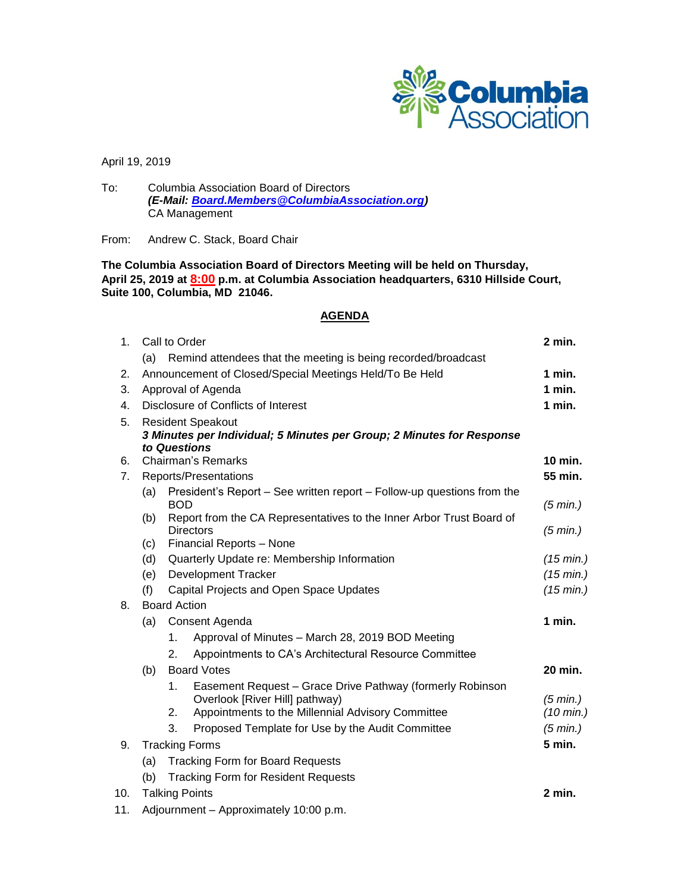

April 19, 2019

To: Columbia Association Board of Directors *(E-Mail: [Board.Members@ColumbiaAssociation.org\)](mailto:Board.Members@ColumbiaAssociation.org)* CA Management

From: Andrew C. Stack, Board Chair

# **The Columbia Association Board of Directors Meeting will be held on Thursday, April 25, 2019 at 8:00 p.m. at Columbia Association headquarters, 6310 Hillside Court, Suite 100, Columbia, MD 21046.**

# **AGENDA**

| 1.  | Call to Order                                                                 |                                                    |                                                                      | 2 min.                           |
|-----|-------------------------------------------------------------------------------|----------------------------------------------------|----------------------------------------------------------------------|----------------------------------|
|     | (a)                                                                           |                                                    | Remind attendees that the meeting is being recorded/broadcast        |                                  |
| 2.  | Announcement of Closed/Special Meetings Held/To Be Held                       |                                                    |                                                                      | 1 min.                           |
| 3.  | Approval of Agenda                                                            |                                                    |                                                                      | 1 min.                           |
| 4.  |                                                                               | Disclosure of Conflicts of Interest                |                                                                      |                                  |
| 5.  | <b>Resident Speakout</b>                                                      |                                                    |                                                                      |                                  |
|     | 3 Minutes per Individual; 5 Minutes per Group; 2 Minutes for Response         |                                                    |                                                                      |                                  |
| 6.  | to Questions<br><b>Chairman's Remarks</b>                                     |                                                    |                                                                      | 10 min.                          |
| 7.  | Reports/Presentations                                                         |                                                    |                                                                      | 55 min.                          |
|     | President's Report – See written report – Follow-up questions from the<br>(a) |                                                    |                                                                      |                                  |
|     |                                                                               | <b>BOD</b>                                         |                                                                      | $(5 \text{ min.})$               |
|     | (b)                                                                           |                                                    | Report from the CA Representatives to the Inner Arbor Trust Board of |                                  |
|     | <b>Directors</b><br>Financial Reports - None<br>(c)                           |                                                    | (5 min.)                                                             |                                  |
|     |                                                                               | (d)<br>Quarterly Update re: Membership Information |                                                                      |                                  |
|     |                                                                               | <b>Development Tracker</b><br>(e)                  |                                                                      | $(15 \text{ min.})$<br>(15 min.) |
|     | (f)                                                                           | Capital Projects and Open Space Updates            |                                                                      |                                  |
| 8.  | <b>Board Action</b>                                                           |                                                    |                                                                      | $(15 \text{ min.})$              |
|     | (a)<br>Consent Agenda                                                         |                                                    |                                                                      | 1 min.                           |
|     |                                                                               | 1.                                                 | Approval of Minutes - March 28, 2019 BOD Meeting                     |                                  |
|     |                                                                               | 2.                                                 | Appointments to CA's Architectural Resource Committee                |                                  |
|     | (b)                                                                           | <b>Board Votes</b>                                 |                                                                      | 20 min.                          |
|     |                                                                               | 1 <sub>1</sub>                                     | Easement Request - Grace Drive Pathway (formerly Robinson            |                                  |
|     |                                                                               |                                                    | Overlook [River Hill] pathway)                                       | $(5 \text{ min.})$               |
|     |                                                                               | 2.                                                 | Appointments to the Millennial Advisory Committee                    | $(10 \text{ min.})$              |
|     |                                                                               | 3.                                                 | Proposed Template for Use by the Audit Committee                     | (5 min.)                         |
| 9.  | <b>Tracking Forms</b>                                                         |                                                    |                                                                      | 5 min.                           |
|     | <b>Tracking Form for Board Requests</b><br>(a)                                |                                                    |                                                                      |                                  |
|     | (b)<br><b>Tracking Form for Resident Requests</b>                             |                                                    |                                                                      |                                  |
| 10. | <b>Talking Points</b>                                                         |                                                    |                                                                      | 2 min.                           |
|     |                                                                               |                                                    |                                                                      |                                  |

11. Adjournment – Approximately 10:00 p.m.